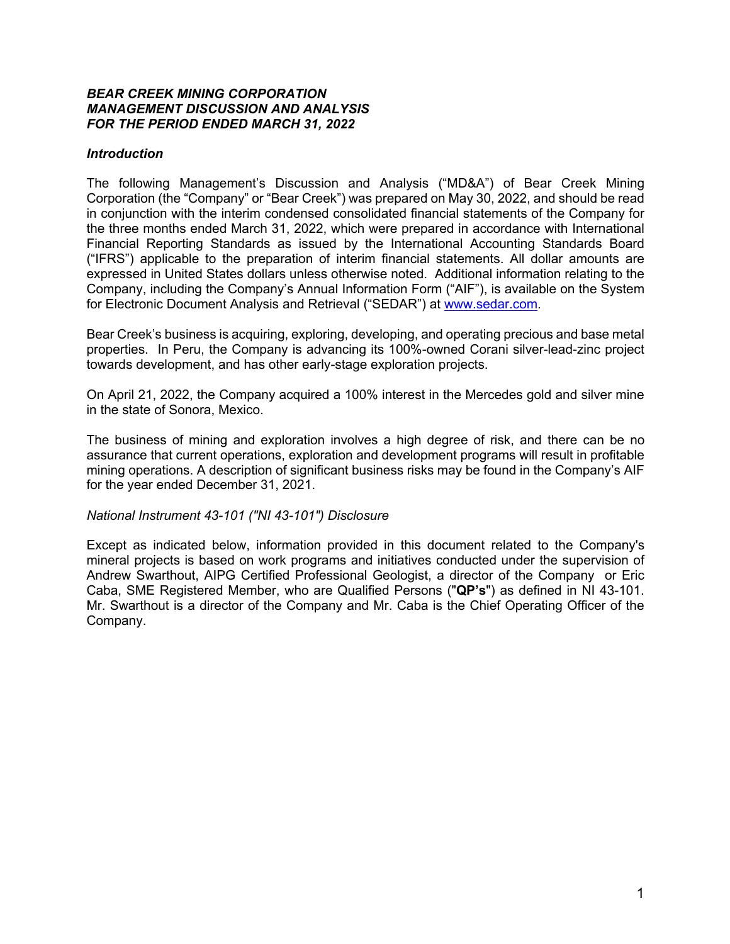### *BEAR CREEK MINING CORPORATION MANAGEMENT DISCUSSION AND ANALYSIS FOR THE PERIOD ENDED MARCH 31, 2022*

### *Introduction*

The following Management's Discussion and Analysis ("MD&A") of Bear Creek Mining Corporation (the "Company" or "Bear Creek") was prepared on May 30, 2022, and should be read in conjunction with the interim condensed consolidated financial statements of the Company for the three months ended March 31, 2022, which were prepared in accordance with International Financial Reporting Standards as issued by the International Accounting Standards Board ("IFRS") applicable to the preparation of interim financial statements. All dollar amounts are expressed in United States dollars unless otherwise noted. Additional information relating to the Company, including the Company's Annual Information Form ("AIF"), is available on the System for Electronic Document Analysis and Retrieval ("SEDAR") at www.sedar.com.

Bear Creek's business is acquiring, exploring, developing, and operating precious and base metal properties. In Peru, the Company is advancing its 100%-owned Corani silver-lead-zinc project towards development, and has other early-stage exploration projects.

On April 21, 2022, the Company acquired a 100% interest in the Mercedes gold and silver mine in the state of Sonora, Mexico.

The business of mining and exploration involves a high degree of risk, and there can be no assurance that current operations, exploration and development programs will result in profitable mining operations. A description of significant business risks may be found in the Company's AIF for the year ended December 31, 2021.

#### *National Instrument 43-101 ("NI 43-101") Disclosure*

Except as indicated below, information provided in this document related to the Company's mineral projects is based on work programs and initiatives conducted under the supervision of Andrew Swarthout, AIPG Certified Professional Geologist, a director of the Company or Eric Caba, SME Registered Member, who are Qualified Persons ("**QP's**") as defined in NI 43-101. Mr. Swarthout is a director of the Company and Mr. Caba is the Chief Operating Officer of the Company.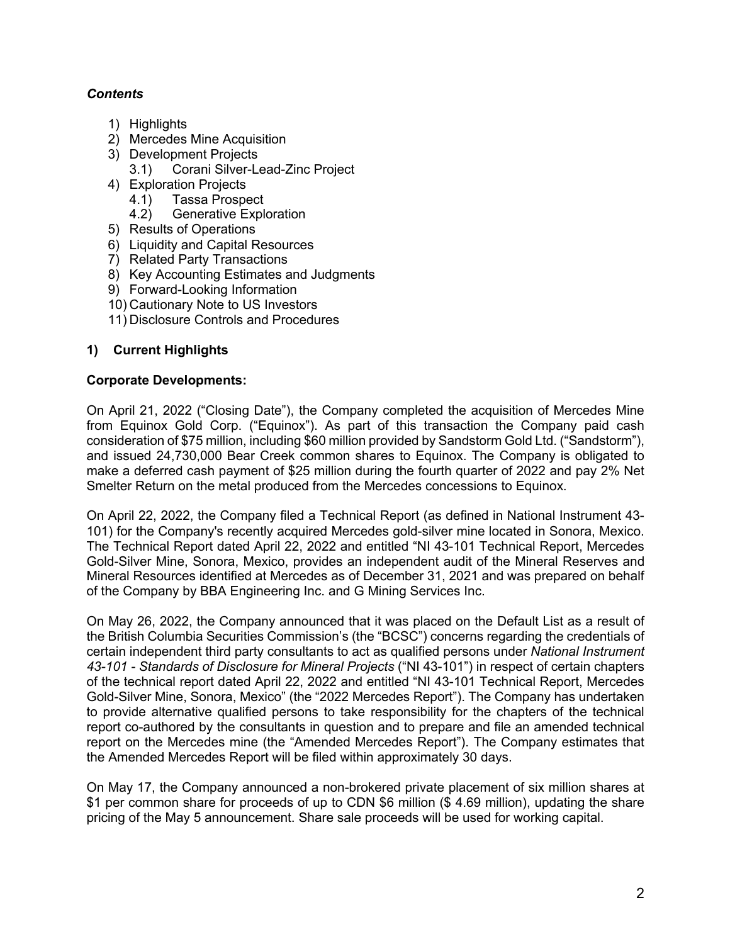# *Contents*

- 1) Highlights
- 2) Mercedes Mine Acquisition
- 3) Development Projects
	- 3.1) Corani Silver-Lead-Zinc Project
- 4) Exploration Projects
	- 4.1) Tassa Prospect
	- 4.2) Generative Exploration
- 5) Results of Operations
- 6) Liquidity and Capital Resources
- 7) Related Party Transactions
- 8) Key Accounting Estimates and Judgments
- 9) Forward-Looking Information
- 10) Cautionary Note to US Investors
- 11) Disclosure Controls and Procedures

# **1) Current Highlights**

# **Corporate Developments:**

On April 21, 2022 ("Closing Date"), the Company completed the acquisition of Mercedes Mine from Equinox Gold Corp. ("Equinox"). As part of this transaction the Company paid cash consideration of \$75 million, including \$60 million provided by Sandstorm Gold Ltd. ("Sandstorm"), and issued 24,730,000 Bear Creek common shares to Equinox. The Company is obligated to make a deferred cash payment of \$25 million during the fourth quarter of 2022 and pay 2% Net Smelter Return on the metal produced from the Mercedes concessions to Equinox.

On April 22, 2022, the Company filed a Technical Report (as defined in National Instrument 43- 101) for the Company's recently acquired Mercedes gold-silver mine located in Sonora, Mexico. The Technical Report dated April 22, 2022 and entitled "NI 43-101 Technical Report, Mercedes Gold-Silver Mine, Sonora, Mexico, provides an independent audit of the Mineral Reserves and Mineral Resources identified at Mercedes as of December 31, 2021 and was prepared on behalf of the Company by BBA Engineering Inc. and G Mining Services Inc.

On May 26, 2022, the Company announced that it was placed on the Default List as a result of the British Columbia Securities Commission's (the "BCSC") concerns regarding the credentials of certain independent third party consultants to act as qualified persons under *National Instrument 43-101 - Standards of Disclosure for Mineral Projects* ("NI 43-101") in respect of certain chapters of the technical report dated April 22, 2022 and entitled "NI 43-101 Technical Report, Mercedes Gold-Silver Mine, Sonora, Mexico" (the "2022 Mercedes Report"). The Company has undertaken to provide alternative qualified persons to take responsibility for the chapters of the technical report co-authored by the consultants in question and to prepare and file an amended technical report on the Mercedes mine (the "Amended Mercedes Report"). The Company estimates that the Amended Mercedes Report will be filed within approximately 30 days.

On May 17, the Company announced a non-brokered private placement of six million shares at \$1 per common share for proceeds of up to CDN \$6 million (\$ 4.69 million), updating the share pricing of the May 5 announcement. Share sale proceeds will be used for working capital.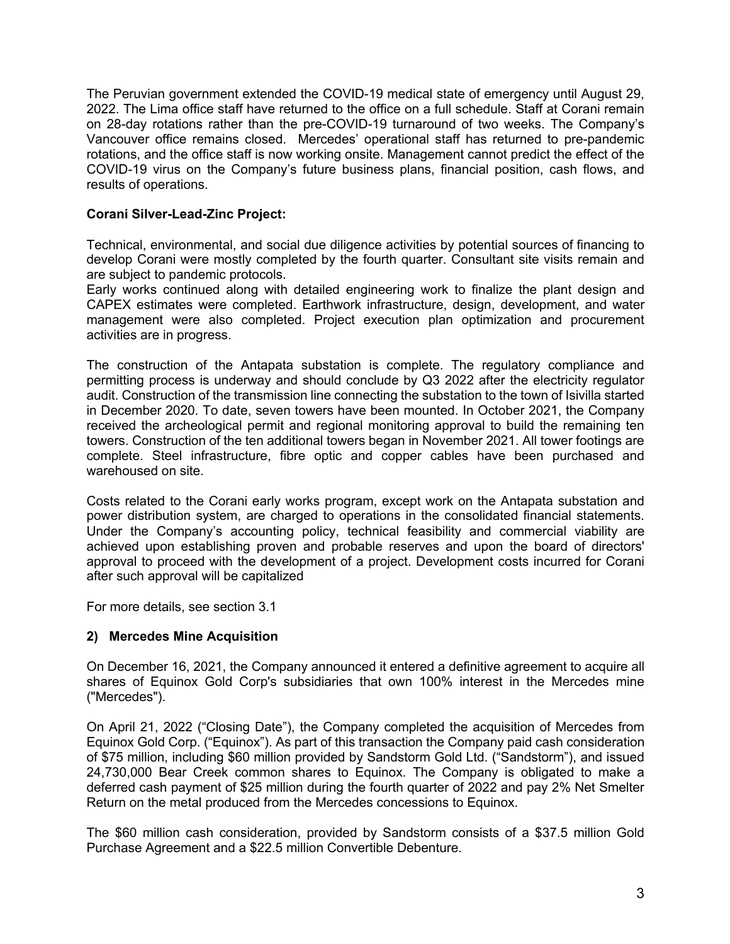The Peruvian government extended the COVID-19 medical state of emergency until August 29, 2022. The Lima office staff have returned to the office on a full schedule. Staff at Corani remain on 28-day rotations rather than the pre-COVID-19 turnaround of two weeks. The Company's Vancouver office remains closed. Mercedes' operational staff has returned to pre-pandemic rotations, and the office staff is now working onsite. Management cannot predict the effect of the COVID-19 virus on the Company's future business plans, financial position, cash flows, and results of operations.

# **Corani Silver-Lead-Zinc Project:**

Technical, environmental, and social due diligence activities by potential sources of financing to develop Corani were mostly completed by the fourth quarter. Consultant site visits remain and are subject to pandemic protocols.

Early works continued along with detailed engineering work to finalize the plant design and CAPEX estimates were completed. Earthwork infrastructure, design, development, and water management were also completed. Project execution plan optimization and procurement activities are in progress.

The construction of the Antapata substation is complete. The regulatory compliance and permitting process is underway and should conclude by Q3 2022 after the electricity regulator audit. Construction of the transmission line connecting the substation to the town of Isivilla started in December 2020. To date, seven towers have been mounted. In October 2021, the Company received the archeological permit and regional monitoring approval to build the remaining ten towers. Construction of the ten additional towers began in November 2021. All tower footings are complete. Steel infrastructure, fibre optic and copper cables have been purchased and warehoused on site.

Costs related to the Corani early works program, except work on the Antapata substation and power distribution system, are charged to operations in the consolidated financial statements. Under the Company's accounting policy, technical feasibility and commercial viability are achieved upon establishing proven and probable reserves and upon the board of directors' approval to proceed with the development of a project. Development costs incurred for Corani after such approval will be capitalized

For more details, see section 3.1

## **2) Mercedes Mine Acquisition**

On December 16, 2021, the Company announced it entered a definitive agreement to acquire all shares of Equinox Gold Corp's subsidiaries that own 100% interest in the Mercedes mine ("Mercedes").

On April 21, 2022 ("Closing Date"), the Company completed the acquisition of Mercedes from Equinox Gold Corp. ("Equinox"). As part of this transaction the Company paid cash consideration of \$75 million, including \$60 million provided by Sandstorm Gold Ltd. ("Sandstorm"), and issued 24,730,000 Bear Creek common shares to Equinox. The Company is obligated to make a deferred cash payment of \$25 million during the fourth quarter of 2022 and pay 2% Net Smelter Return on the metal produced from the Mercedes concessions to Equinox.

The \$60 million cash consideration, provided by Sandstorm consists of a \$37.5 million Gold Purchase Agreement and a \$22.5 million Convertible Debenture.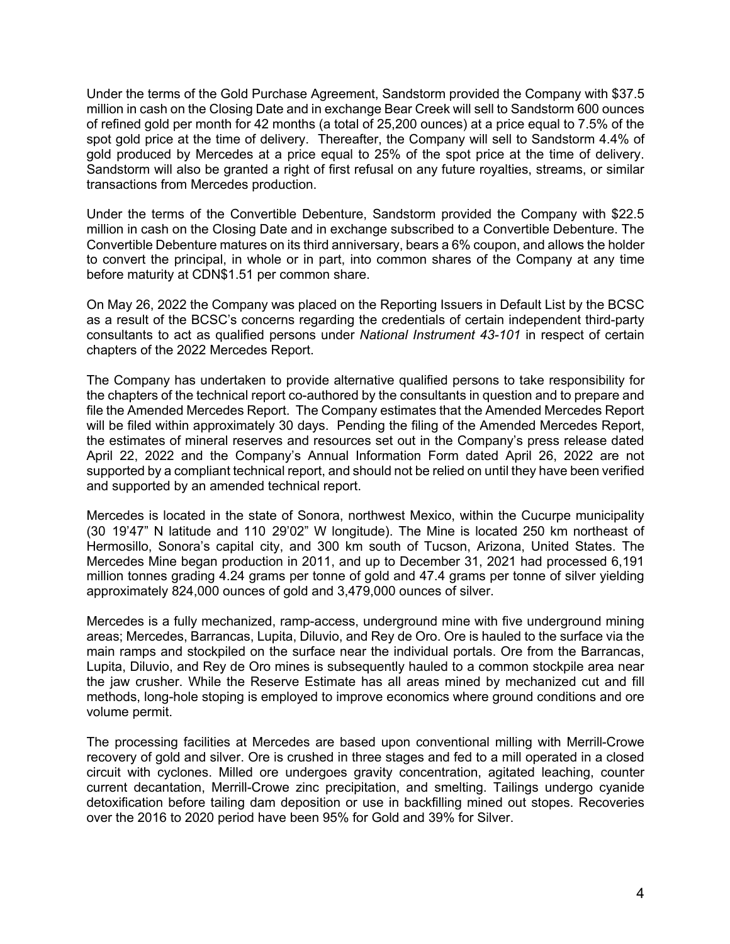Under the terms of the Gold Purchase Agreement, Sandstorm provided the Company with \$37.5 million in cash on the Closing Date and in exchange Bear Creek will sell to Sandstorm 600 ounces of refined gold per month for 42 months (a total of 25,200 ounces) at a price equal to 7.5% of the spot gold price at the time of delivery. Thereafter, the Company will sell to Sandstorm 4.4% of gold produced by Mercedes at a price equal to 25% of the spot price at the time of delivery. Sandstorm will also be granted a right of first refusal on any future royalties, streams, or similar transactions from Mercedes production.

Under the terms of the Convertible Debenture, Sandstorm provided the Company with \$22.5 million in cash on the Closing Date and in exchange subscribed to a Convertible Debenture. The Convertible Debenture matures on its third anniversary, bears a 6% coupon, and allows the holder to convert the principal, in whole or in part, into common shares of the Company at any time before maturity at CDN\$1.51 per common share.

On May 26, 2022 the Company was placed on the Reporting Issuers in Default List by the BCSC as a result of the BCSC's concerns regarding the credentials of certain independent third-party consultants to act as qualified persons under *National Instrument 43-101* in respect of certain chapters of the 2022 Mercedes Report.

The Company has undertaken to provide alternative qualified persons to take responsibility for the chapters of the technical report co-authored by the consultants in question and to prepare and file the Amended Mercedes Report. The Company estimates that the Amended Mercedes Report will be filed within approximately 30 days. Pending the filing of the Amended Mercedes Report, the estimates of mineral reserves and resources set out in the Company's press release dated April 22, 2022 and the Company's Annual Information Form dated April 26, 2022 are not supported by a compliant technical report, and should not be relied on until they have been verified and supported by an amended technical report.

Mercedes is located in the state of Sonora, northwest Mexico, within the Cucurpe municipality (30 19'47" N latitude and 110 29'02" W longitude). The Mine is located 250 km northeast of Hermosillo, Sonora's capital city, and 300 km south of Tucson, Arizona, United States. The Mercedes Mine began production in 2011, and up to December 31, 2021 had processed 6,191 million tonnes grading 4.24 grams per tonne of gold and 47.4 grams per tonne of silver yielding approximately 824,000 ounces of gold and 3,479,000 ounces of silver.

Mercedes is a fully mechanized, ramp-access, underground mine with five underground mining areas; Mercedes, Barrancas, Lupita, Diluvio, and Rey de Oro. Ore is hauled to the surface via the main ramps and stockpiled on the surface near the individual portals. Ore from the Barrancas, Lupita, Diluvio, and Rey de Oro mines is subsequently hauled to a common stockpile area near the jaw crusher. While the Reserve Estimate has all areas mined by mechanized cut and fill methods, long-hole stoping is employed to improve economics where ground conditions and ore volume permit.

The processing facilities at Mercedes are based upon conventional milling with Merrill-Crowe recovery of gold and silver. Ore is crushed in three stages and fed to a mill operated in a closed circuit with cyclones. Milled ore undergoes gravity concentration, agitated leaching, counter current decantation, Merrill-Crowe zinc precipitation, and smelting. Tailings undergo cyanide detoxification before tailing dam deposition or use in backfilling mined out stopes. Recoveries over the 2016 to 2020 period have been 95% for Gold and 39% for Silver.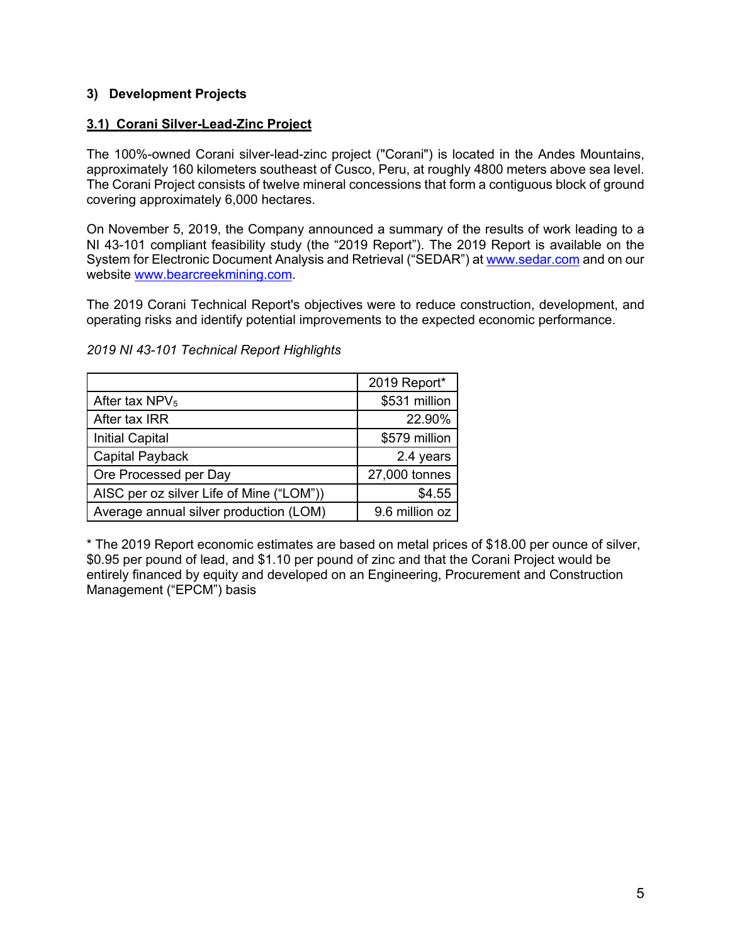# **3) Development Projects**

## **3.1) Corani Silver-Lead-Zinc Project**

The 100%-owned Corani silver-lead-zinc project ("Corani") is located in the Andes Mountains, approximately 160 kilometers southeast of Cusco, Peru, at roughly 4800 meters above sea level. The Corani Project consists of twelve mineral concessions that form a contiguous block of ground covering approximately 6,000 hectares.

On November 5, 2019, the Company announced a summary of the results of work leading to a NI 43-101 compliant feasibility study (the "2019 Report"). The 2019 Report is available on the System for Electronic Document Analysis and Retrieval ("SEDAR") at www.sedar.com and on our website www.bearcreekmining.com.

The 2019 Corani Technical Report's objectives were to reduce construction, development, and operating risks and identify potential improvements to the expected economic performance.

|                                          | 2019 Report*   |
|------------------------------------------|----------------|
| After tax $NPV5$                         | \$531 million  |
| After tax IRR                            | 22.90%         |
| <b>Initial Capital</b>                   | \$579 million  |
| Capital Payback                          | 2.4 years      |
| Ore Processed per Day                    | 27,000 tonnes  |
| AISC per oz silver Life of Mine ("LOM")) | \$4.55         |
| Average annual silver production (LOM)   | 9.6 million oz |

*2019 NI 43-101 Technical Report Highlights* 

\* The 2019 Report economic estimates are based on metal prices of \$18.00 per ounce of silver, \$0.95 per pound of lead, and \$1.10 per pound of zinc and that the Corani Project would be entirely financed by equity and developed on an Engineering, Procurement and Construction Management ("EPCM") basis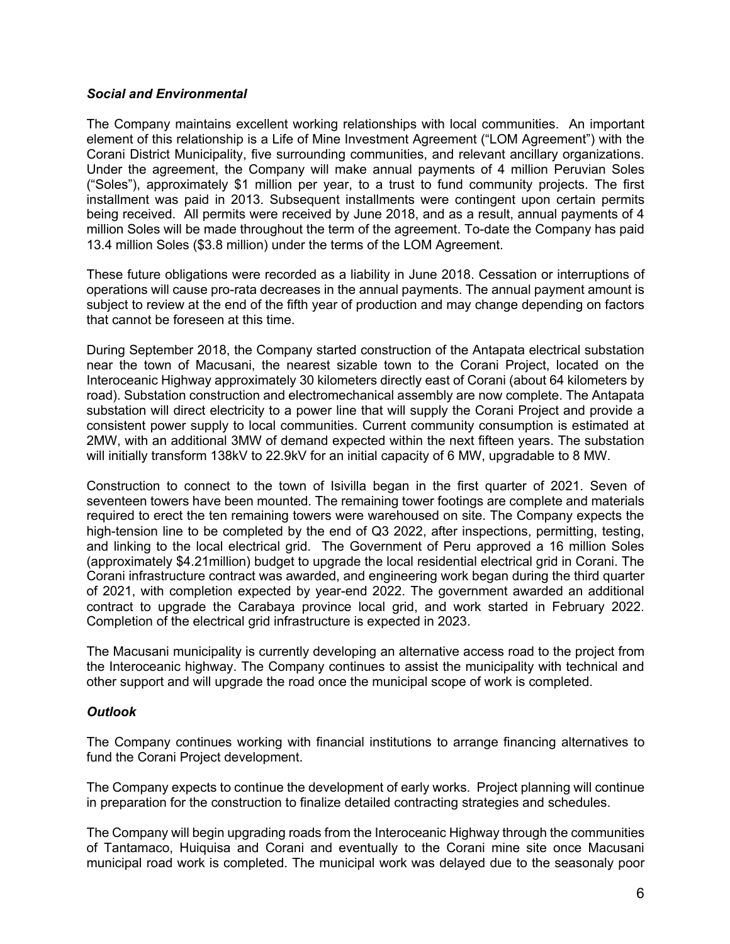### *Social and Environmental*

The Company maintains excellent working relationships with local communities. An important element of this relationship is a Life of Mine Investment Agreement ("LOM Agreement") with the Corani District Municipality, five surrounding communities, and relevant ancillary organizations. Under the agreement, the Company will make annual payments of 4 million Peruvian Soles ("Soles"), approximately \$1 million per year, to a trust to fund community projects. The first installment was paid in 2013. Subsequent installments were contingent upon certain permits being received. All permits were received by June 2018, and as a result, annual payments of 4 million Soles will be made throughout the term of the agreement. To-date the Company has paid 13.4 million Soles (\$3.8 million) under the terms of the LOM Agreement.

These future obligations were recorded as a liability in June 2018. Cessation or interruptions of operations will cause pro-rata decreases in the annual payments. The annual payment amount is subject to review at the end of the fifth year of production and may change depending on factors that cannot be foreseen at this time.

During September 2018, the Company started construction of the Antapata electrical substation near the town of Macusani, the nearest sizable town to the Corani Project, located on the Interoceanic Highway approximately 30 kilometers directly east of Corani (about 64 kilometers by road). Substation construction and electromechanical assembly are now complete. The Antapata substation will direct electricity to a power line that will supply the Corani Project and provide a consistent power supply to local communities. Current community consumption is estimated at 2MW, with an additional 3MW of demand expected within the next fifteen years. The substation will initially transform 138kV to 22.9kV for an initial capacity of 6 MW, upgradable to 8 MW.

Construction to connect to the town of Isivilla began in the first quarter of 2021. Seven of seventeen towers have been mounted. The remaining tower footings are complete and materials required to erect the ten remaining towers were warehoused on site. The Company expects the high-tension line to be completed by the end of Q3 2022, after inspections, permitting, testing, and linking to the local electrical grid. The Government of Peru approved a 16 million Soles (approximately \$4.21million) budget to upgrade the local residential electrical grid in Corani. The Corani infrastructure contract was awarded, and engineering work began during the third quarter of 2021, with completion expected by year-end 2022. The government awarded an additional contract to upgrade the Carabaya province local grid, and work started in February 2022. Completion of the electrical grid infrastructure is expected in 2023.

The Macusani municipality is currently developing an alternative access road to the project from the Interoceanic highway. The Company continues to assist the municipality with technical and other support and will upgrade the road once the municipal scope of work is completed.

## *Outlook*

The Company continues working with financial institutions to arrange financing alternatives to fund the Corani Project development.

The Company expects to continue the development of early works. Project planning will continue in preparation for the construction to finalize detailed contracting strategies and schedules.

The Company will begin upgrading roads from the Interoceanic Highway through the communities of Tantamaco, Huiquisa and Corani and eventually to the Corani mine site once Macusani municipal road work is completed. The municipal work was delayed due to the seasonaly poor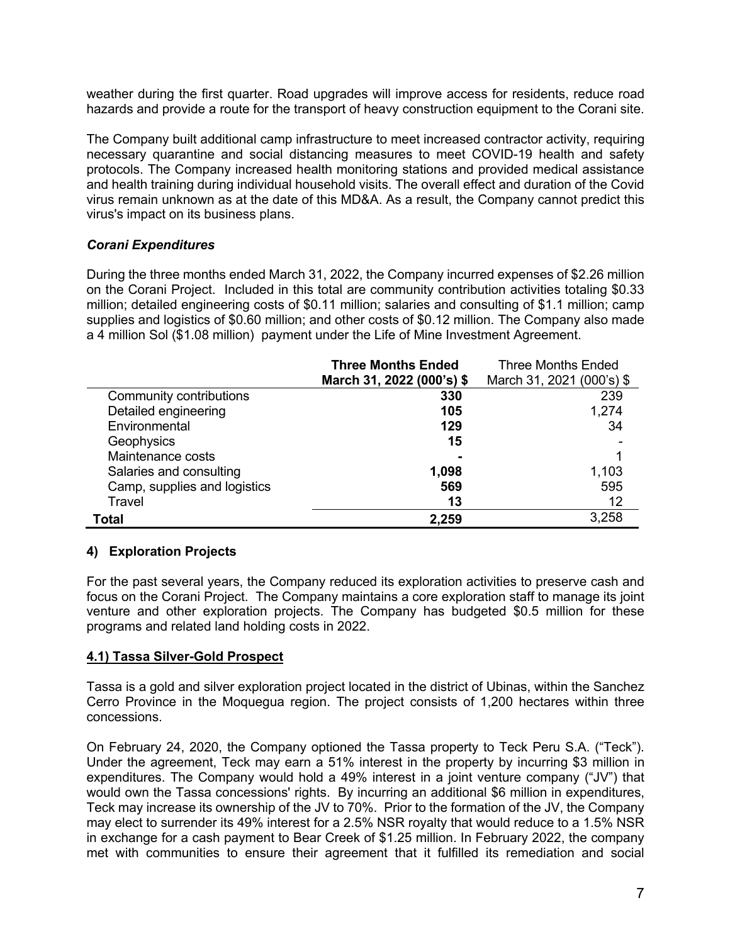weather during the first quarter. Road upgrades will improve access for residents, reduce road hazards and provide a route for the transport of heavy construction equipment to the Corani site.

The Company built additional camp infrastructure to meet increased contractor activity, requiring necessary quarantine and social distancing measures to meet COVID-19 health and safety protocols. The Company increased health monitoring stations and provided medical assistance and health training during individual household visits. The overall effect and duration of the Covid virus remain unknown as at the date of this MD&A. As a result, the Company cannot predict this virus's impact on its business plans.

# *Corani Expenditures*

During the three months ended March 31, 2022, the Company incurred expenses of \$2.26 million on the Corani Project. Included in this total are community contribution activities totaling \$0.33 million; detailed engineering costs of \$0.11 million; salaries and consulting of \$1.1 million; camp supplies and logistics of \$0.60 million; and other costs of \$0.12 million. The Company also made a 4 million Sol (\$1.08 million) payment under the Life of Mine Investment Agreement.

|                              | <b>Three Months Ended</b><br><b>Three Months Ended</b> |                           |
|------------------------------|--------------------------------------------------------|---------------------------|
|                              | March 31, 2022 (000's) \$                              | March 31, 2021 (000's) \$ |
| Community contributions      | 330                                                    | 239                       |
| Detailed engineering         | 105                                                    | 1,274                     |
| Environmental                | 129                                                    | 34                        |
| Geophysics                   | 15                                                     |                           |
| Maintenance costs            |                                                        |                           |
| Salaries and consulting      | 1,098                                                  | 1,103                     |
| Camp, supplies and logistics | 569                                                    | 595                       |
| Travel                       | 13                                                     | 12                        |
| Total                        | 2,259                                                  | 3,258                     |

# **4) Exploration Projects**

For the past several years, the Company reduced its exploration activities to preserve cash and focus on the Corani Project. The Company maintains a core exploration staff to manage its joint venture and other exploration projects. The Company has budgeted \$0.5 million for these programs and related land holding costs in 2022.

## **4.1) Tassa Silver-Gold Prospect**

Tassa is a gold and silver exploration project located in the district of Ubinas, within the Sanchez Cerro Province in the Moquegua region. The project consists of 1,200 hectares within three concessions.

On February 24, 2020, the Company optioned the Tassa property to Teck Peru S.A. ("Teck"). Under the agreement, Teck may earn a 51% interest in the property by incurring \$3 million in expenditures. The Company would hold a 49% interest in a joint venture company ("JV") that would own the Tassa concessions' rights. By incurring an additional \$6 million in expenditures, Teck may increase its ownership of the JV to 70%. Prior to the formation of the JV, the Company may elect to surrender its 49% interest for a 2.5% NSR royalty that would reduce to a 1.5% NSR in exchange for a cash payment to Bear Creek of \$1.25 million. In February 2022, the company met with communities to ensure their agreement that it fulfilled its remediation and social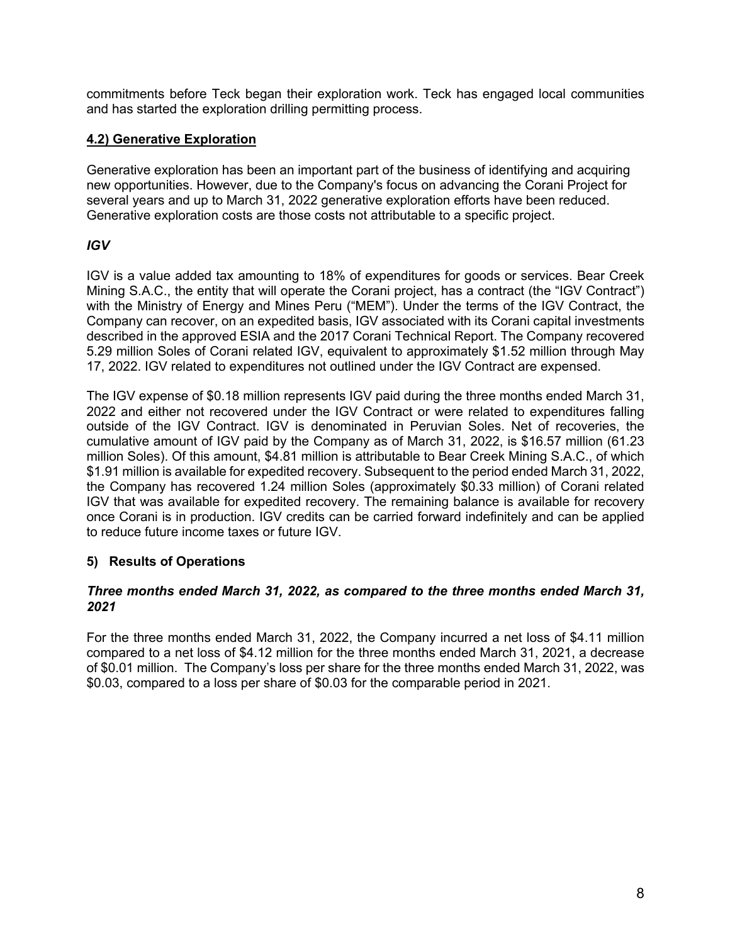commitments before Teck began their exploration work. Teck has engaged local communities and has started the exploration drilling permitting process.

# **4.2) Generative Exploration**

Generative exploration has been an important part of the business of identifying and acquiring new opportunities. However, due to the Company's focus on advancing the Corani Project for several years and up to March 31, 2022 generative exploration efforts have been reduced. Generative exploration costs are those costs not attributable to a specific project.

## *IGV*

IGV is a value added tax amounting to 18% of expenditures for goods or services. Bear Creek Mining S.A.C., the entity that will operate the Corani project, has a contract (the "IGV Contract") with the Ministry of Energy and Mines Peru ("MEM"). Under the terms of the IGV Contract, the Company can recover, on an expedited basis, IGV associated with its Corani capital investments described in the approved ESIA and the 2017 Corani Technical Report. The Company recovered 5.29 million Soles of Corani related IGV, equivalent to approximately \$1.52 million through May 17, 2022. IGV related to expenditures not outlined under the IGV Contract are expensed.

The IGV expense of \$0.18 million represents IGV paid during the three months ended March 31, 2022 and either not recovered under the IGV Contract or were related to expenditures falling outside of the IGV Contract. IGV is denominated in Peruvian Soles. Net of recoveries, the cumulative amount of IGV paid by the Company as of March 31, 2022, is \$16.57 million (61.23 million Soles). Of this amount, \$4.81 million is attributable to Bear Creek Mining S.A.C., of which \$1.91 million is available for expedited recovery. Subsequent to the period ended March 31, 2022, the Company has recovered 1.24 million Soles (approximately \$0.33 million) of Corani related IGV that was available for expedited recovery. The remaining balance is available for recovery once Corani is in production. IGV credits can be carried forward indefinitely and can be applied to reduce future income taxes or future IGV.

# **5) Results of Operations**

## *Three months ended March 31, 2022, as compared to the three months ended March 31, 2021*

For the three months ended March 31, 2022, the Company incurred a net loss of \$4.11 million compared to a net loss of \$4.12 million for the three months ended March 31, 2021, a decrease of \$0.01 million. The Company's loss per share for the three months ended March 31, 2022, was \$0.03, compared to a loss per share of \$0.03 for the comparable period in 2021.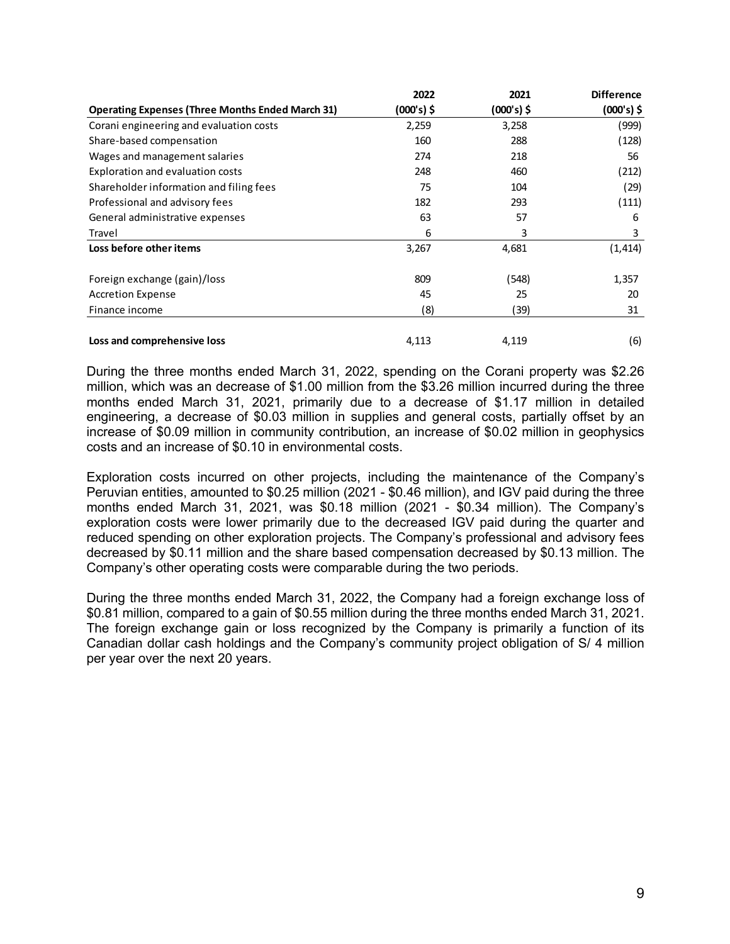|                                                         | 2022       | 2021         | <b>Difference</b> |
|---------------------------------------------------------|------------|--------------|-------------------|
| <b>Operating Expenses (Three Months Ended March 31)</b> | (000's) \$ | $(000's)$ \$ | $(000's)$ \$      |
| Corani engineering and evaluation costs                 | 2,259      | 3,258        | (999)             |
| Share-based compensation                                | 160        | 288          | (128)             |
| Wages and management salaries                           | 274        | 218          | 56                |
| Exploration and evaluation costs                        | 248        | 460          | (212)             |
| Shareholder information and filing fees                 | 75         | 104          | (29)              |
| Professional and advisory fees                          | 182        | 293          | (111)             |
| General administrative expenses                         | 63         | 57           | 6                 |
| Travel                                                  | 6          | 3            | 3                 |
| Loss before other items                                 | 3,267      | 4,681        | (1, 414)          |
| Foreign exchange (gain)/loss                            | 809        | (548)        | 1,357             |
| <b>Accretion Expense</b>                                | 45         | 25           | 20                |
| Finance income                                          | (8)        | (39)         | 31                |
| Loss and comprehensive loss                             | 4,113      | 4,119        | (6)               |

During the three months ended March 31, 2022, spending on the Corani property was \$2.26 million, which was an decrease of \$1.00 million from the \$3.26 million incurred during the three months ended March 31, 2021, primarily due to a decrease of \$1.17 million in detailed engineering, a decrease of \$0.03 million in supplies and general costs, partially offset by an increase of \$0.09 million in community contribution, an increase of \$0.02 million in geophysics costs and an increase of \$0.10 in environmental costs.

Exploration costs incurred on other projects, including the maintenance of the Company's Peruvian entities, amounted to \$0.25 million (2021 - \$0.46 million), and IGV paid during the three months ended March 31, 2021, was \$0.18 million (2021 - \$0.34 million). The Company's exploration costs were lower primarily due to the decreased IGV paid during the quarter and reduced spending on other exploration projects. The Company's professional and advisory fees decreased by \$0.11 million and the share based compensation decreased by \$0.13 million. The Company's other operating costs were comparable during the two periods.

During the three months ended March 31, 2022, the Company had a foreign exchange loss of \$0.81 million, compared to a gain of \$0.55 million during the three months ended March 31, 2021. The foreign exchange gain or loss recognized by the Company is primarily a function of its Canadian dollar cash holdings and the Company's community project obligation of S/ 4 million per year over the next 20 years.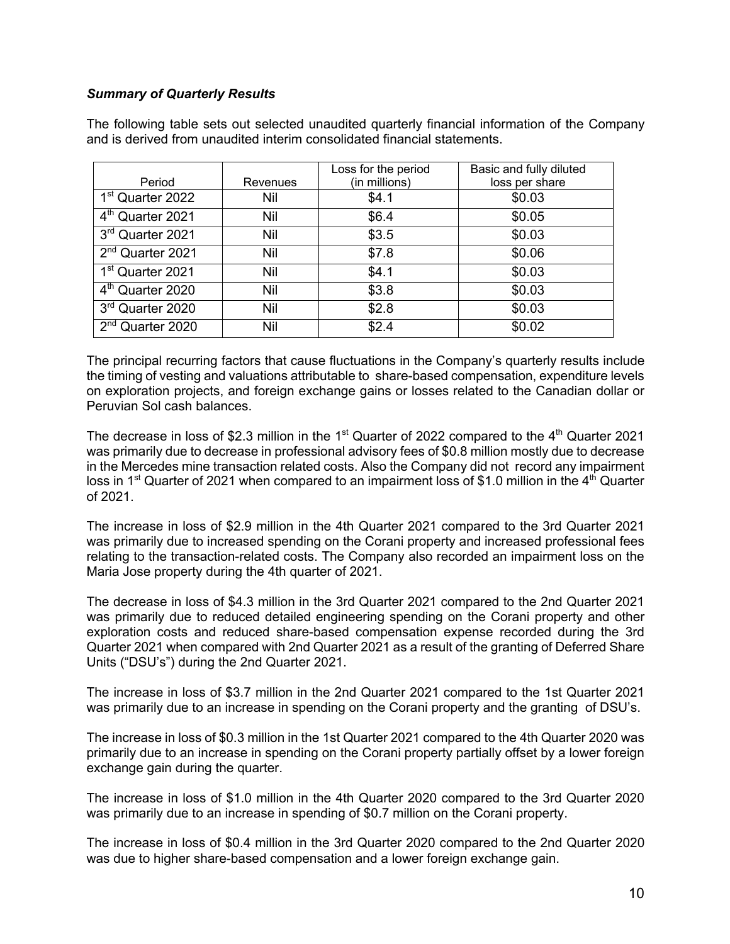## *Summary of Quarterly Results*

The following table sets out selected unaudited quarterly financial information of the Company and is derived from unaudited interim consolidated financial statements.

|                              |          | Loss for the period | Basic and fully diluted |
|------------------------------|----------|---------------------|-------------------------|
| Period                       | Revenues | (in millions)       | loss per share          |
| 1 <sup>st</sup> Quarter 2022 | Nil      | \$4.1               | \$0.03                  |
| 4 <sup>th</sup> Quarter 2021 | Nil      | \$6.4               | \$0.05                  |
| 3rd Quarter 2021             | Nil      | \$3.5               | \$0.03                  |
| 2 <sup>nd</sup> Quarter 2021 | Nil      | \$7.8               | \$0.06                  |
| 1 <sup>st</sup> Quarter 2021 | Nil      | \$4.1               | \$0.03                  |
| 4 <sup>th</sup> Quarter 2020 | Nil      | \$3.8               | \$0.03                  |
| 3rd Quarter 2020             | Nil      | \$2.8               | \$0.03                  |
| 2 <sup>nd</sup> Quarter 2020 | Nil      | \$2.4               | \$0.02                  |

The principal recurring factors that cause fluctuations in the Company's quarterly results include the timing of vesting and valuations attributable to share-based compensation, expenditure levels on exploration projects, and foreign exchange gains or losses related to the Canadian dollar or Peruvian Sol cash balances.

The decrease in loss of \$2.3 million in the 1<sup>st</sup> Quarter of 2022 compared to the 4<sup>th</sup> Quarter 2021 was primarily due to decrease in professional advisory fees of \$0.8 million mostly due to decrease in the Mercedes mine transaction related costs. Also the Company did not record any impairment loss in 1<sup>st</sup> Quarter of 2021 when compared to an impairment loss of \$1.0 million in the 4<sup>th</sup> Quarter of 2021.

The increase in loss of \$2.9 million in the 4th Quarter 2021 compared to the 3rd Quarter 2021 was primarily due to increased spending on the Corani property and increased professional fees relating to the transaction-related costs. The Company also recorded an impairment loss on the Maria Jose property during the 4th quarter of 2021.

The decrease in loss of \$4.3 million in the 3rd Quarter 2021 compared to the 2nd Quarter 2021 was primarily due to reduced detailed engineering spending on the Corani property and other exploration costs and reduced share-based compensation expense recorded during the 3rd Quarter 2021 when compared with 2nd Quarter 2021 as a result of the granting of Deferred Share Units ("DSU's") during the 2nd Quarter 2021.

The increase in loss of \$3.7 million in the 2nd Quarter 2021 compared to the 1st Quarter 2021 was primarily due to an increase in spending on the Corani property and the granting of DSU's.

The increase in loss of \$0.3 million in the 1st Quarter 2021 compared to the 4th Quarter 2020 was primarily due to an increase in spending on the Corani property partially offset by a lower foreign exchange gain during the quarter.

The increase in loss of \$1.0 million in the 4th Quarter 2020 compared to the 3rd Quarter 2020 was primarily due to an increase in spending of \$0.7 million on the Corani property.

The increase in loss of \$0.4 million in the 3rd Quarter 2020 compared to the 2nd Quarter 2020 was due to higher share-based compensation and a lower foreign exchange gain.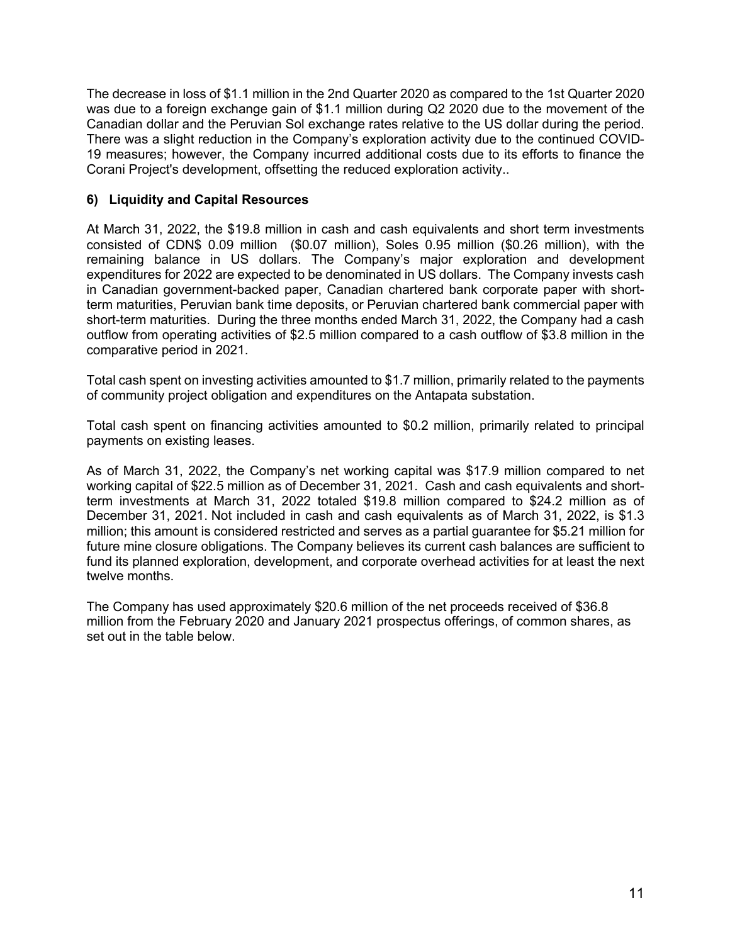The decrease in loss of \$1.1 million in the 2nd Quarter 2020 as compared to the 1st Quarter 2020 was due to a foreign exchange gain of \$1.1 million during Q2 2020 due to the movement of the Canadian dollar and the Peruvian Sol exchange rates relative to the US dollar during the period. There was a slight reduction in the Company's exploration activity due to the continued COVID-19 measures; however, the Company incurred additional costs due to its efforts to finance the Corani Project's development, offsetting the reduced exploration activity..

# **6) Liquidity and Capital Resources**

At March 31, 2022, the \$19.8 million in cash and cash equivalents and short term investments consisted of CDN\$ 0.09 million (\$0.07 million), Soles 0.95 million (\$0.26 million), with the remaining balance in US dollars. The Company's major exploration and development expenditures for 2022 are expected to be denominated in US dollars. The Company invests cash in Canadian government-backed paper, Canadian chartered bank corporate paper with shortterm maturities, Peruvian bank time deposits, or Peruvian chartered bank commercial paper with short-term maturities. During the three months ended March 31, 2022, the Company had a cash outflow from operating activities of \$2.5 million compared to a cash outflow of \$3.8 million in the comparative period in 2021.

Total cash spent on investing activities amounted to \$1.7 million, primarily related to the payments of community project obligation and expenditures on the Antapata substation.

Total cash spent on financing activities amounted to \$0.2 million, primarily related to principal payments on existing leases.

As of March 31, 2022, the Company's net working capital was \$17.9 million compared to net working capital of \$22.5 million as of December 31, 2021. Cash and cash equivalents and shortterm investments at March 31, 2022 totaled \$19.8 million compared to \$24.2 million as of December 31, 2021. Not included in cash and cash equivalents as of March 31, 2022, is \$1.3 million; this amount is considered restricted and serves as a partial guarantee for \$5.21 million for future mine closure obligations. The Company believes its current cash balances are sufficient to fund its planned exploration, development, and corporate overhead activities for at least the next twelve months.

The Company has used approximately \$20.6 million of the net proceeds received of \$36.8 million from the February 2020 and January 2021 prospectus offerings, of common shares, as set out in the table below.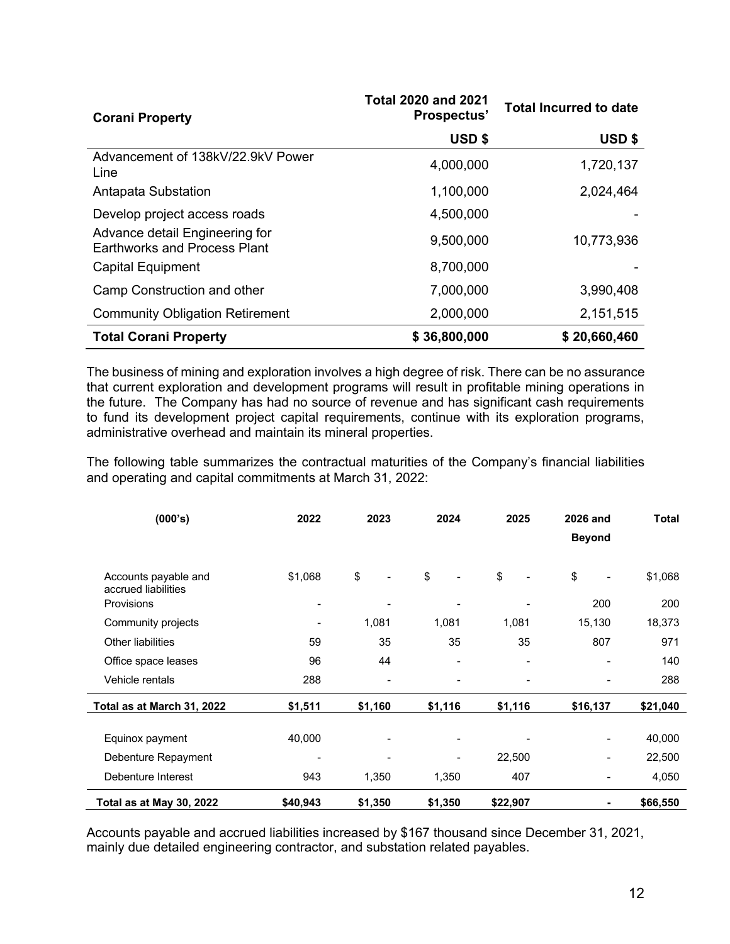| <b>Corani Property</b>                                                | <b>Total 2020 and 2021</b><br>Prospectus' |               |
|-----------------------------------------------------------------------|-------------------------------------------|---------------|
|                                                                       | USD <sub>\$</sub>                         | <b>USD \$</b> |
| Advancement of 138kV/22.9kV Power<br>Line                             | 4,000,000                                 | 1,720,137     |
| Antapata Substation                                                   | 1,100,000                                 | 2,024,464     |
| Develop project access roads                                          | 4,500,000                                 |               |
| Advance detail Engineering for<br><b>Earthworks and Process Plant</b> | 9,500,000                                 | 10,773,936    |
| <b>Capital Equipment</b>                                              | 8,700,000                                 |               |
| Camp Construction and other                                           | 7,000,000                                 | 3,990,408     |
| <b>Community Obligation Retirement</b>                                | 2,000,000                                 | 2,151,515     |
| <b>Total Corani Property</b>                                          | \$36,800,000                              | \$20,660,460  |

The business of mining and exploration involves a high degree of risk. There can be no assurance that current exploration and development programs will result in profitable mining operations in the future. The Company has had no source of revenue and has significant cash requirements to fund its development project capital requirements, continue with its exploration programs, administrative overhead and maintain its mineral properties.

The following table summarizes the contractual maturities of the Company's financial liabilities and operating and capital commitments at March 31, 2022:

| (000's)                                                          | 2022                                | 2023                     | 2024                    | 2025     | <b>2026 and</b> | <b>Total</b>   |
|------------------------------------------------------------------|-------------------------------------|--------------------------|-------------------------|----------|-----------------|----------------|
|                                                                  |                                     |                          |                         |          | <b>Beyond</b>   |                |
| Accounts payable and<br>accrued liabilities<br><b>Provisions</b> | \$1,068<br>$\overline{\phantom{a}}$ | \$                       | $\sqrt[6]{\frac{1}{2}}$ | \$       | \$<br>200       | \$1,068<br>200 |
| Community projects                                               |                                     | 1,081                    | 1,081                   | 1,081    | 15,130          | 18,373         |
| Other liabilities                                                | 59                                  | 35                       | 35                      | 35       | 807             | 971            |
| Office space leases                                              | 96                                  | 44                       | ۰                       |          |                 | 140            |
| Vehicle rentals                                                  | 288                                 | $\overline{\phantom{0}}$ | ۰                       |          |                 | 288            |
| Total as at March 31, 2022                                       | \$1,511                             | \$1,160                  | \$1,116                 | \$1,116  | \$16,137        | \$21,040       |
| Equinox payment                                                  | 40,000                              |                          |                         |          |                 | 40,000         |
| Debenture Repayment                                              |                                     |                          | -                       | 22,500   | -               | 22,500         |
| Debenture Interest                                               | 943                                 | 1,350                    | 1,350                   | 407      |                 | 4,050          |
| Total as at May 30, 2022                                         | \$40,943                            | \$1,350                  | \$1,350                 | \$22,907 | ٠               | \$66,550       |

Accounts payable and accrued liabilities increased by \$167 thousand since December 31, 2021, mainly due detailed engineering contractor, and substation related payables.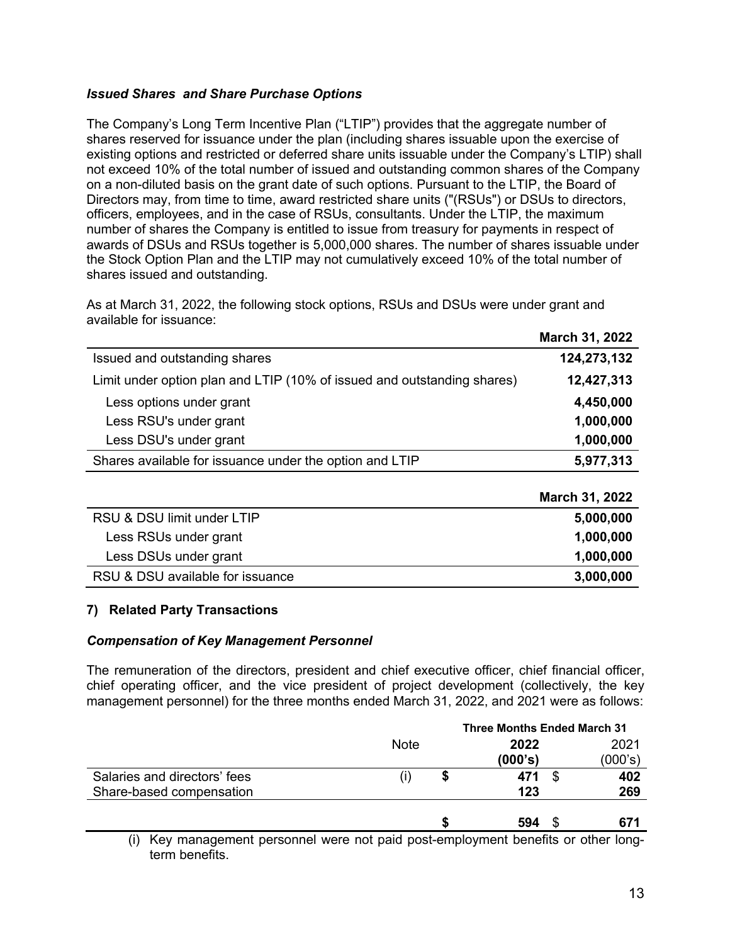# *Issued Shares and Share Purchase Options*

The Company's Long Term Incentive Plan ("LTIP") provides that the aggregate number of shares reserved for issuance under the plan (including shares issuable upon the exercise of existing options and restricted or deferred share units issuable under the Company's LTIP) shall not exceed 10% of the total number of issued and outstanding common shares of the Company on a non-diluted basis on the grant date of such options. Pursuant to the LTIP, the Board of Directors may, from time to time, award restricted share units ("(RSUs") or DSUs to directors, officers, employees, and in the case of RSUs, consultants. Under the LTIP, the maximum number of shares the Company is entitled to issue from treasury for payments in respect of awards of DSUs and RSUs together is 5,000,000 shares. The number of shares issuable under the Stock Option Plan and the LTIP may not cumulatively exceed 10% of the total number of shares issued and outstanding.

As at March 31, 2022, the following stock options, RSUs and DSUs were under grant and available for issuance:

|                                                                         | March 31, 2022 |
|-------------------------------------------------------------------------|----------------|
| Issued and outstanding shares                                           | 124,273,132    |
| Limit under option plan and LTIP (10% of issued and outstanding shares) | 12,427,313     |
| Less options under grant                                                | 4,450,000      |
| Less RSU's under grant                                                  | 1,000,000      |
| Less DSU's under grant                                                  | 1,000,000      |
| Shares available for issuance under the option and LTIP                 | 5,977,313      |

|                                  | March 31, 2022 |
|----------------------------------|----------------|
| RSU & DSU limit under LTIP       | 5,000,000      |
| Less RSUs under grant            | 1,000,000      |
| Less DSUs under grant            | 1,000,000      |
| RSU & DSU available for issuance | 3,000,000      |

## **7) Related Party Transactions**

## *Compensation of Key Management Personnel*

The remuneration of the directors, president and chief executive officer, chief financial officer, chief operating officer, and the vice president of project development (collectively, the key management personnel) for the three months ended March 31, 2022, and 2021 were as follows:

|                              |             | <b>Three Months Ended March 31</b> |         |  |         |
|------------------------------|-------------|------------------------------------|---------|--|---------|
|                              | <b>Note</b> |                                    | 2022    |  | 2021    |
|                              |             |                                    | (000's) |  | (000's) |
| Salaries and directors' fees |             |                                    | 471     |  | 402     |
| Share-based compensation     |             |                                    | 123     |  | 269     |
|                              |             |                                    |         |  |         |
|                              |             |                                    | 594     |  | 671     |

(i) Key management personnel were not paid post-employment benefits or other longterm benefits.

**March 31, 2022**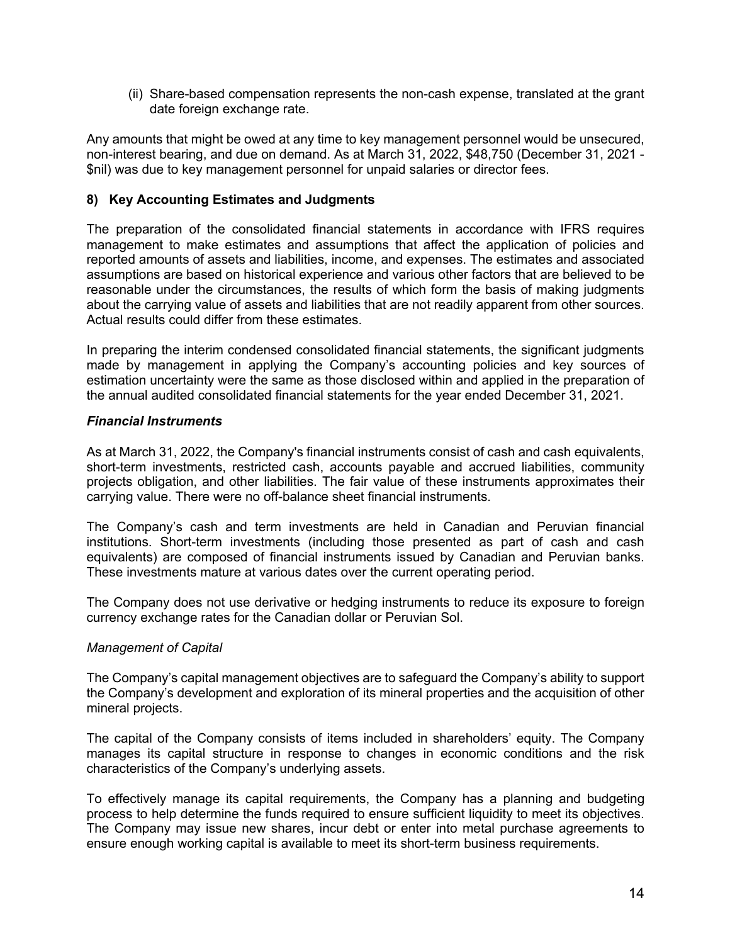(ii) Share-based compensation represents the non-cash expense, translated at the grant date foreign exchange rate.

Any amounts that might be owed at any time to key management personnel would be unsecured, non-interest bearing, and due on demand. As at March 31, 2022, \$48,750 (December 31, 2021 - \$nil) was due to key management personnel for unpaid salaries or director fees.

## **8) Key Accounting Estimates and Judgments**

The preparation of the consolidated financial statements in accordance with IFRS requires management to make estimates and assumptions that affect the application of policies and reported amounts of assets and liabilities, income, and expenses. The estimates and associated assumptions are based on historical experience and various other factors that are believed to be reasonable under the circumstances, the results of which form the basis of making judgments about the carrying value of assets and liabilities that are not readily apparent from other sources. Actual results could differ from these estimates.

In preparing the interim condensed consolidated financial statements, the significant judgments made by management in applying the Company's accounting policies and key sources of estimation uncertainty were the same as those disclosed within and applied in the preparation of the annual audited consolidated financial statements for the year ended December 31, 2021.

### *Financial Instruments*

As at March 31, 2022, the Company's financial instruments consist of cash and cash equivalents, short-term investments, restricted cash, accounts payable and accrued liabilities, community projects obligation, and other liabilities. The fair value of these instruments approximates their carrying value. There were no off-balance sheet financial instruments.

The Company's cash and term investments are held in Canadian and Peruvian financial institutions. Short-term investments (including those presented as part of cash and cash equivalents) are composed of financial instruments issued by Canadian and Peruvian banks. These investments mature at various dates over the current operating period.

The Company does not use derivative or hedging instruments to reduce its exposure to foreign currency exchange rates for the Canadian dollar or Peruvian Sol.

#### *Management of Capital*

The Company's capital management objectives are to safeguard the Company's ability to support the Company's development and exploration of its mineral properties and the acquisition of other mineral projects.

The capital of the Company consists of items included in shareholders' equity. The Company manages its capital structure in response to changes in economic conditions and the risk characteristics of the Company's underlying assets.

To effectively manage its capital requirements, the Company has a planning and budgeting process to help determine the funds required to ensure sufficient liquidity to meet its objectives. The Company may issue new shares, incur debt or enter into metal purchase agreements to ensure enough working capital is available to meet its short-term business requirements.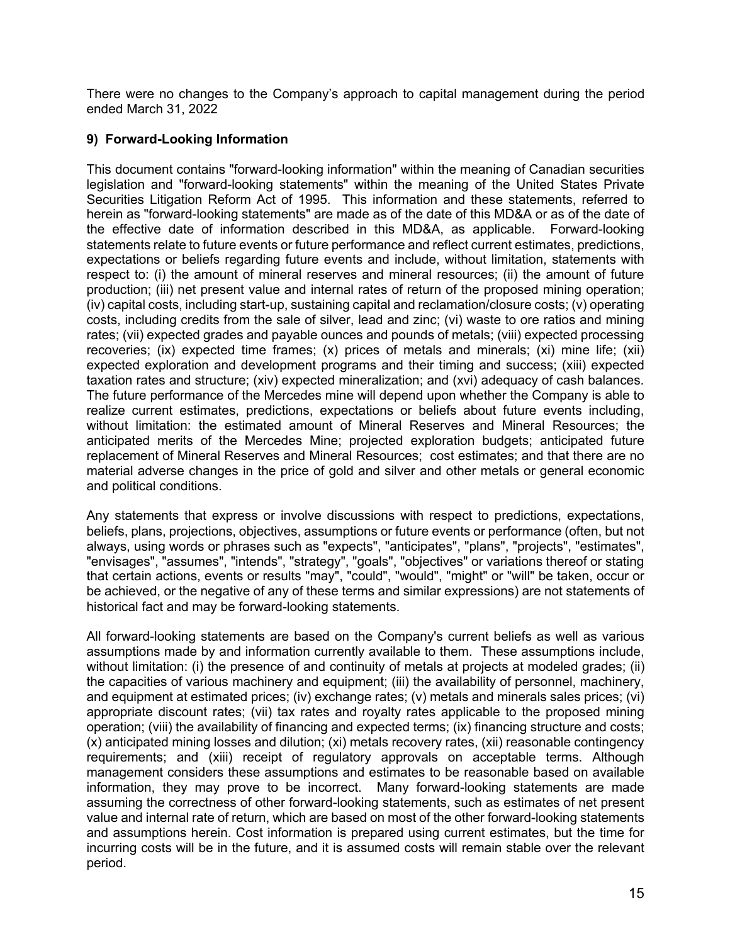There were no changes to the Company's approach to capital management during the period ended March 31, 2022

# **9) Forward-Looking Information**

This document contains "forward-looking information" within the meaning of Canadian securities legislation and "forward-looking statements" within the meaning of the United States Private Securities Litigation Reform Act of 1995. This information and these statements, referred to herein as "forward-looking statements" are made as of the date of this MD&A or as of the date of the effective date of information described in this MD&A, as applicable. Forward-looking statements relate to future events or future performance and reflect current estimates, predictions, expectations or beliefs regarding future events and include, without limitation, statements with respect to: (i) the amount of mineral reserves and mineral resources; (ii) the amount of future production; (iii) net present value and internal rates of return of the proposed mining operation; (iv) capital costs, including start-up, sustaining capital and reclamation/closure costs; (v) operating costs, including credits from the sale of silver, lead and zinc; (vi) waste to ore ratios and mining rates; (vii) expected grades and payable ounces and pounds of metals; (viii) expected processing recoveries; (ix) expected time frames; (x) prices of metals and minerals; (xi) mine life; (xii) expected exploration and development programs and their timing and success; (xiii) expected taxation rates and structure; (xiv) expected mineralization; and (xvi) adequacy of cash balances. The future performance of the Mercedes mine will depend upon whether the Company is able to realize current estimates, predictions, expectations or beliefs about future events including, without limitation: the estimated amount of Mineral Reserves and Mineral Resources; the anticipated merits of the Mercedes Mine; projected exploration budgets; anticipated future replacement of Mineral Reserves and Mineral Resources; cost estimates; and that there are no material adverse changes in the price of gold and silver and other metals or general economic and political conditions.

Any statements that express or involve discussions with respect to predictions, expectations, beliefs, plans, projections, objectives, assumptions or future events or performance (often, but not always, using words or phrases such as "expects", "anticipates", "plans", "projects", "estimates", "envisages", "assumes", "intends", "strategy", "goals", "objectives" or variations thereof or stating that certain actions, events or results "may", "could", "would", "might" or "will" be taken, occur or be achieved, or the negative of any of these terms and similar expressions) are not statements of historical fact and may be forward-looking statements.

All forward-looking statements are based on the Company's current beliefs as well as various assumptions made by and information currently available to them. These assumptions include, without limitation: (i) the presence of and continuity of metals at projects at modeled grades: (ii) the capacities of various machinery and equipment; (iii) the availability of personnel, machinery, and equipment at estimated prices; (iv) exchange rates; (v) metals and minerals sales prices; (vi) appropriate discount rates; (vii) tax rates and royalty rates applicable to the proposed mining operation; (viii) the availability of financing and expected terms; (ix) financing structure and costs; (x) anticipated mining losses and dilution; (xi) metals recovery rates, (xii) reasonable contingency requirements; and (xiii) receipt of regulatory approvals on acceptable terms. Although management considers these assumptions and estimates to be reasonable based on available information, they may prove to be incorrect. Many forward-looking statements are made assuming the correctness of other forward-looking statements, such as estimates of net present value and internal rate of return, which are based on most of the other forward-looking statements and assumptions herein. Cost information is prepared using current estimates, but the time for incurring costs will be in the future, and it is assumed costs will remain stable over the relevant period.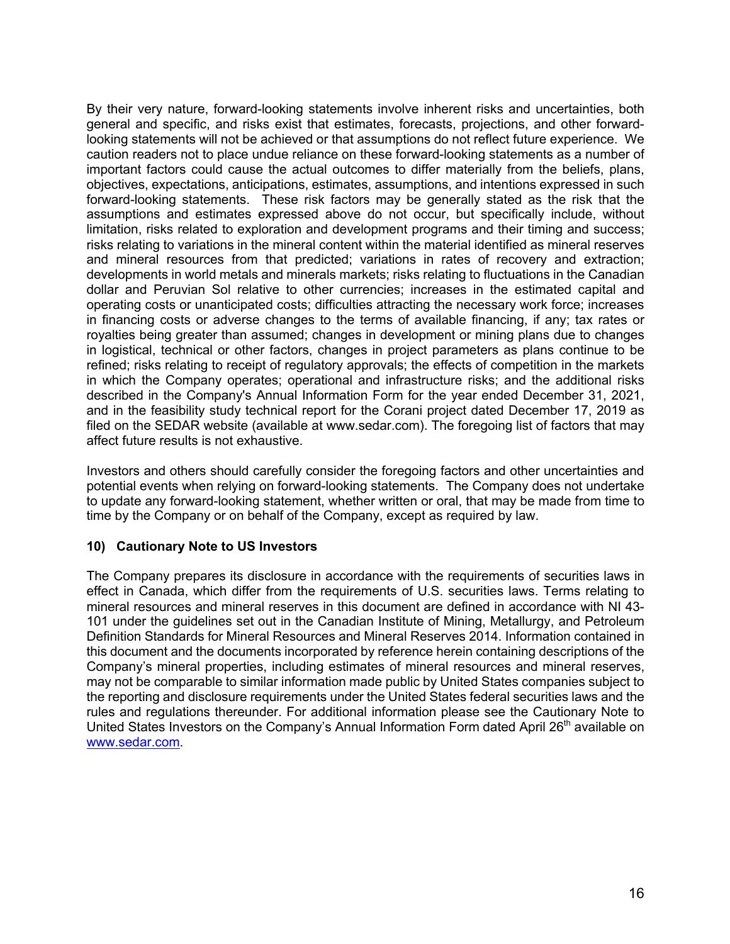By their very nature, forward-looking statements involve inherent risks and uncertainties, both general and specific, and risks exist that estimates, forecasts, projections, and other forwardlooking statements will not be achieved or that assumptions do not reflect future experience. We caution readers not to place undue reliance on these forward-looking statements as a number of important factors could cause the actual outcomes to differ materially from the beliefs, plans, objectives, expectations, anticipations, estimates, assumptions, and intentions expressed in such forward-looking statements. These risk factors may be generally stated as the risk that the assumptions and estimates expressed above do not occur, but specifically include, without limitation, risks related to exploration and development programs and their timing and success; risks relating to variations in the mineral content within the material identified as mineral reserves and mineral resources from that predicted; variations in rates of recovery and extraction; developments in world metals and minerals markets; risks relating to fluctuations in the Canadian dollar and Peruvian Sol relative to other currencies; increases in the estimated capital and operating costs or unanticipated costs; difficulties attracting the necessary work force; increases in financing costs or adverse changes to the terms of available financing, if any; tax rates or royalties being greater than assumed; changes in development or mining plans due to changes in logistical, technical or other factors, changes in project parameters as plans continue to be refined; risks relating to receipt of regulatory approvals; the effects of competition in the markets in which the Company operates; operational and infrastructure risks; and the additional risks described in the Company's Annual Information Form for the year ended December 31, 2021, and in the feasibility study technical report for the Corani project dated December 17, 2019 as filed on the SEDAR website (available at www.sedar.com). The foregoing list of factors that may affect future results is not exhaustive.

Investors and others should carefully consider the foregoing factors and other uncertainties and potential events when relying on forward-looking statements. The Company does not undertake to update any forward-looking statement, whether written or oral, that may be made from time to time by the Company or on behalf of the Company, except as required by law.

## **10) Cautionary Note to US Investors**

The Company prepares its disclosure in accordance with the requirements of securities laws in effect in Canada, which differ from the requirements of U.S. securities laws. Terms relating to mineral resources and mineral reserves in this document are defined in accordance with NI 43- 101 under the guidelines set out in the Canadian Institute of Mining, Metallurgy, and Petroleum Definition Standards for Mineral Resources and Mineral Reserves 2014. Information contained in this document and the documents incorporated by reference herein containing descriptions of the Company's mineral properties, including estimates of mineral resources and mineral reserves, may not be comparable to similar information made public by United States companies subject to the reporting and disclosure requirements under the United States federal securities laws and the rules and regulations thereunder. For additional information please see the Cautionary Note to United States Investors on the Company's Annual Information Form dated April 26<sup>th</sup> available on www.sedar.com.